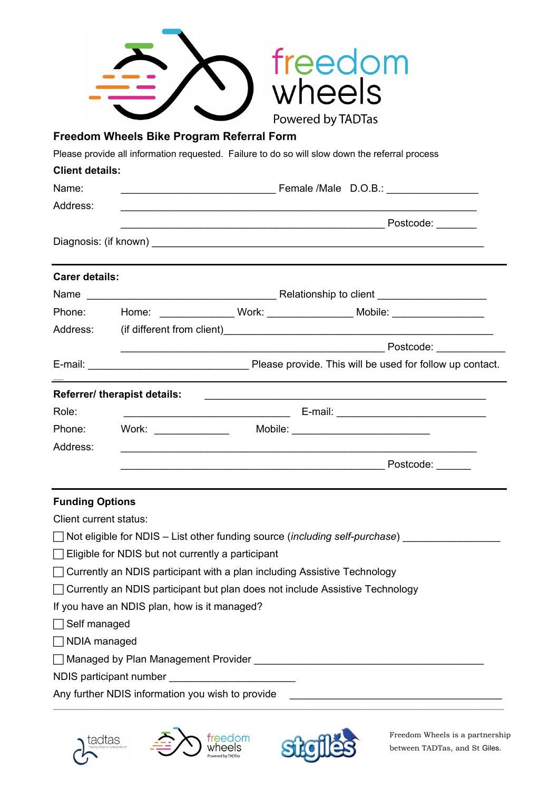|                                                         |                                                                              | Powered by TADTas                                                                                               |
|---------------------------------------------------------|------------------------------------------------------------------------------|-----------------------------------------------------------------------------------------------------------------|
|                                                         | Freedom Wheels Bike Program Referral Form                                    |                                                                                                                 |
|                                                         |                                                                              | Please provide all information requested. Failure to do so will slow down the referral process                  |
| <b>Client details:</b>                                  |                                                                              |                                                                                                                 |
| Name:                                                   |                                                                              |                                                                                                                 |
| Address:                                                |                                                                              |                                                                                                                 |
|                                                         |                                                                              |                                                                                                                 |
|                                                         |                                                                              |                                                                                                                 |
| <b>Carer details:</b>                                   |                                                                              |                                                                                                                 |
|                                                         |                                                                              |                                                                                                                 |
|                                                         |                                                                              |                                                                                                                 |
|                                                         |                                                                              |                                                                                                                 |
|                                                         |                                                                              |                                                                                                                 |
|                                                         |                                                                              |                                                                                                                 |
|                                                         | Referrer/ therapist details:                                                 |                                                                                                                 |
| Role:                                                   |                                                                              |                                                                                                                 |
|                                                         | Phone: Work: __________                                                      | Mobile: ___________________________                                                                             |
| Address:                                                |                                                                              |                                                                                                                 |
|                                                         |                                                                              | Postcode:                                                                                                       |
|                                                         |                                                                              |                                                                                                                 |
| <b>Funding Options</b><br><b>Client current status:</b> |                                                                              |                                                                                                                 |
|                                                         |                                                                              | ◯ Not eligible for NDIS – List other funding source ( <i>including self-purchase</i> )                          |
|                                                         | Eligible for NDIS but not currently a participant                            |                                                                                                                 |
|                                                         | Currently an NDIS participant with a plan including Assistive Technology     |                                                                                                                 |
|                                                         | Currently an NDIS participant but plan does not include Assistive Technology |                                                                                                                 |
|                                                         | If you have an NDIS plan, how is it managed?                                 |                                                                                                                 |
| Self managed                                            |                                                                              |                                                                                                                 |
| NDIA managed                                            |                                                                              |                                                                                                                 |
|                                                         |                                                                              | Managed by Plan Management Provider Management Provider And Managed Structure of the Management Provider Andrew |
|                                                         | NDIS participant number ______________________                               |                                                                                                                 |
|                                                         |                                                                              |                                                                                                                 |